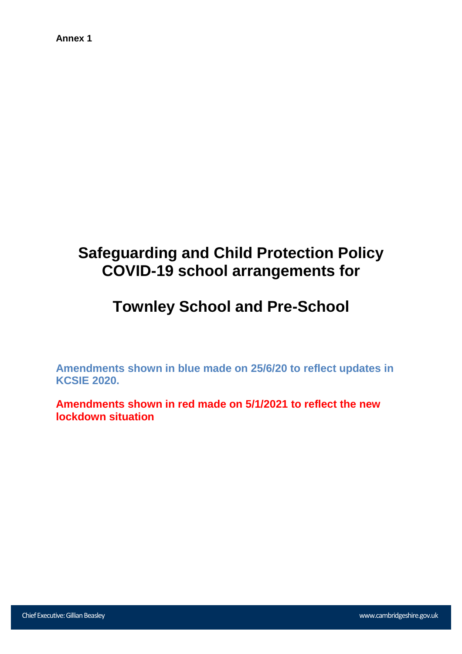#### **Annex 1**

# **Safeguarding and Child Protection Policy COVID-19 school arrangements for**

## **Townley School and Pre-School**

**Amendments shown in blue made on 25/6/20 to reflect updates in KCSIE 2020.**

**Amendments shown in red made on 5/1/2021 to reflect the new lockdown situation**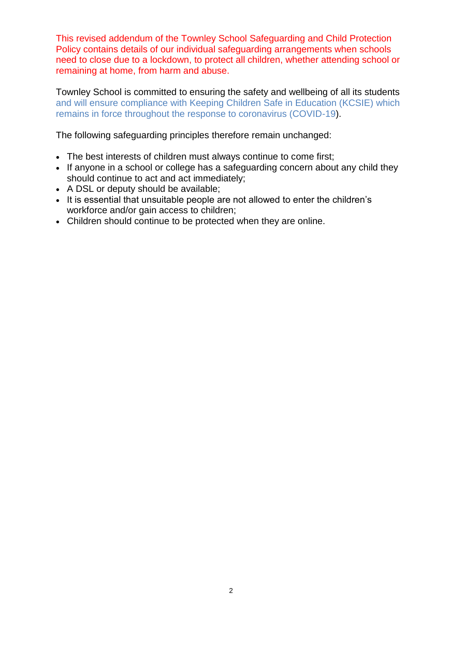This revised addendum of the Townley School Safeguarding and Child Protection Policy contains details of our individual safeguarding arrangements when schools need to close due to a lockdown, to protect all children, whether attending school or remaining at home, from harm and abuse.

Townley School is committed to ensuring the safety and wellbeing of all its students and will ensure compliance with Keeping Children Safe in Education (KCSIE) which remains in force throughout the response to coronavirus (COVID-19).

The following safeguarding principles therefore remain unchanged:

- The best interests of children must always continue to come first;
- If anyone in a school or college has a safeguarding concern about any child they should continue to act and act immediately;
- A DSL or deputy should be available;
- It is essential that unsuitable people are not allowed to enter the children's workforce and/or gain access to children;
- Children should continue to be protected when they are online.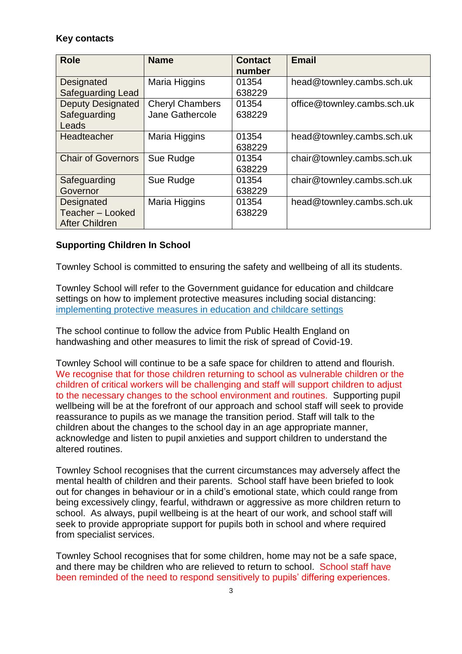## **Key contacts**

| <b>Role</b>                                             | <b>Name</b>                               | <b>Contact</b><br>number | <b>Email</b>                |
|---------------------------------------------------------|-------------------------------------------|--------------------------|-----------------------------|
| Designated<br><b>Safeguarding Lead</b>                  | Maria Higgins                             | 01354<br>638229          | head@townley.cambs.sch.uk   |
| <b>Deputy Designated</b><br>Safeguarding<br>Leads       | <b>Cheryl Chambers</b><br>Jane Gathercole | 01354<br>638229          | office@townley.cambs.sch.uk |
| Headteacher                                             | Maria Higgins                             | 01354<br>638229          | head@townley.cambs.sch.uk   |
| <b>Chair of Governors</b>                               | Sue Rudge                                 | 01354<br>638229          | chair@townley.cambs.sch.uk  |
| Safeguarding<br>Governor                                | Sue Rudge                                 | 01354<br>638229          | chair@townley.cambs.sch.uk  |
| Designated<br>Teacher - Looked<br><b>After Children</b> | Maria Higgins                             | 01354<br>638229          | head@townley.cambs.sch.uk   |

## **Supporting Children In School**

Townley School is committed to ensuring the safety and wellbeing of all its students.

Townley School will refer to the Government guidance for education and childcare settings on how to implement protective measures including social distancing: [implementing protective measures in education and childcare settings](https://www.gov.uk/government/publications/coronavirus-covid-19-implementing-protective-measures-in-education-and-childcare-settings)

The school continue to follow the advice from Public Health England on handwashing and other measures to limit the risk of spread of Covid-19.

Townley School will continue to be a safe space for children to attend and flourish. We recognise that for those children returning to school as vulnerable children or the children of critical workers will be challenging and staff will support children to adjust to the necessary changes to the school environment and routines. Supporting pupil wellbeing will be at the forefront of our approach and school staff will seek to provide reassurance to pupils as we manage the transition period. Staff will talk to the children about the changes to the school day in an age appropriate manner, acknowledge and listen to pupil anxieties and support children to understand the altered routines.

Townley School recognises that the current circumstances may adversely affect the mental health of children and their parents. School staff have been briefed to look out for changes in behaviour or in a child's emotional state, which could range from being excessively clingy, fearful, withdrawn or aggressive as more children return to school. As always, pupil wellbeing is at the heart of our work, and school staff will seek to provide appropriate support for pupils both in school and where required from specialist services.

Townley School recognises that for some children, home may not be a safe space, and there may be children who are relieved to return to school. School staff have been reminded of the need to respond sensitively to pupils' differing experiences.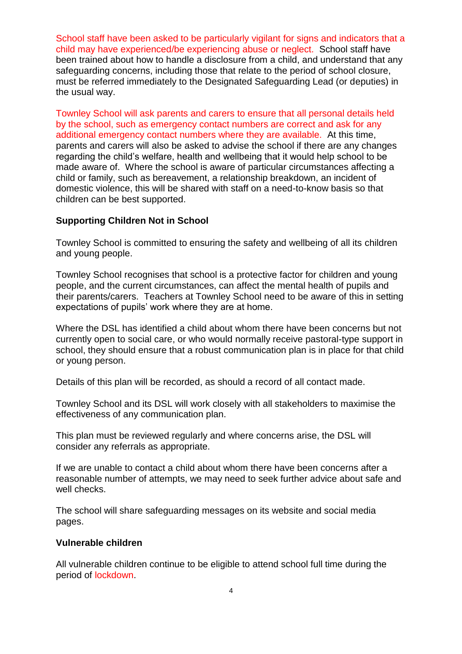School staff have been asked to be particularly vigilant for signs and indicators that a child may have experienced/be experiencing abuse or neglect. School staff have been trained about how to handle a disclosure from a child, and understand that any safeguarding concerns, including those that relate to the period of school closure, must be referred immediately to the Designated Safeguarding Lead (or deputies) in the usual way.

Townley School will ask parents and carers to ensure that all personal details held by the school, such as emergency contact numbers are correct and ask for any additional emergency contact numbers where they are available. At this time, parents and carers will also be asked to advise the school if there are any changes regarding the child's welfare, health and wellbeing that it would help school to be made aware of. Where the school is aware of particular circumstances affecting a child or family, such as bereavement, a relationship breakdown, an incident of domestic violence, this will be shared with staff on a need-to-know basis so that children can be best supported.

#### **Supporting Children Not in School**

Townley School is committed to ensuring the safety and wellbeing of all its children and young people.

Townley School recognises that school is a protective factor for children and young people, and the current circumstances, can affect the mental health of pupils and their parents/carers. Teachers at Townley School need to be aware of this in setting expectations of pupils' work where they are at home.

Where the DSL has identified a child about whom there have been concerns but not currently open to social care, or who would normally receive pastoral-type support in school, they should ensure that a robust communication plan is in place for that child or young person.

Details of this plan will be recorded, as should a record of all contact made.

Townley School and its DSL will work closely with all stakeholders to maximise the effectiveness of any communication plan.

This plan must be reviewed regularly and where concerns arise, the DSL will consider any referrals as appropriate.

If we are unable to contact a child about whom there have been concerns after a reasonable number of attempts, we may need to seek further advice about safe and well checks.

The school will share safeguarding messages on its website and social media pages.

#### **Vulnerable children**

All vulnerable children continue to be eligible to attend school full time during the period of lockdown.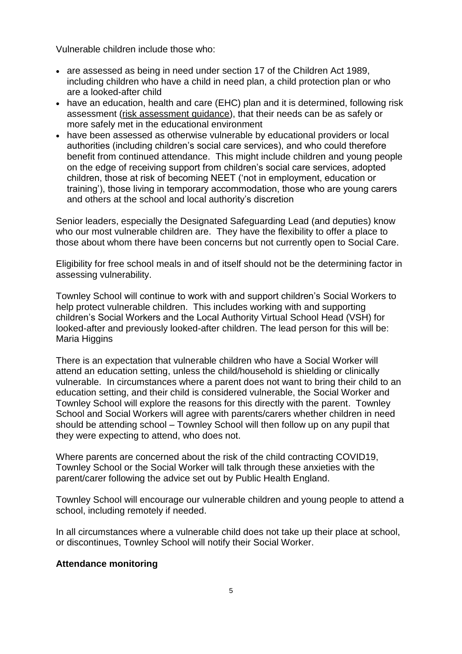Vulnerable children include those who:

- are assessed as being in need under section 17 of the Children Act 1989, including children who have a child in need plan, a child protection plan or who are a looked-after child
- have an education, health and care (EHC) plan and it is determined, following risk assessment [\(risk assessment guidance\)](https://www.gov.uk/government/publications/coronavirus-covid-19-send-risk-assessment-guidance/coronavirus-covid-19-send-risk-assessment-guidance), that their needs can be as safely or more safely met in the educational environment
- have been assessed as otherwise vulnerable by educational providers or local authorities (including children's social care services), and who could therefore benefit from continued attendance. This might include children and young people on the edge of receiving support from children's social care services, adopted children, those at risk of becoming NEET ('not in employment, education or training'), those living in temporary accommodation, those who are young carers and others at the school and local authority's discretion

Senior leaders, especially the Designated Safeguarding Lead (and deputies) know who our most vulnerable children are. They have the flexibility to offer a place to those about whom there have been concerns but not currently open to Social Care.

Eligibility for free school meals in and of itself should not be the determining factor in assessing vulnerability.

Townley School will continue to work with and support children's Social Workers to help protect vulnerable children. This includes working with and supporting children's Social Workers and the Local Authority Virtual School Head (VSH) for looked-after and previously looked-after children. The lead person for this will be: Maria Higgins

There is an expectation that vulnerable children who have a Social Worker will attend an education setting, unless the child/household is shielding or clinically vulnerable. In circumstances where a parent does not want to bring their child to an education setting, and their child is considered vulnerable, the Social Worker and Townley School will explore the reasons for this directly with the parent. Townley School and Social Workers will agree with parents/carers whether children in need should be attending school – Townley School will then follow up on any pupil that they were expecting to attend, who does not.

Where parents are concerned about the risk of the child contracting COVID19, Townley School or the Social Worker will talk through these anxieties with the parent/carer following the advice set out by Public Health England.

Townley School will encourage our vulnerable children and young people to attend a school, including remotely if needed.

In all circumstances where a vulnerable child does not take up their place at school, or discontinues, Townley School will notify their Social Worker.

#### **Attendance monitoring**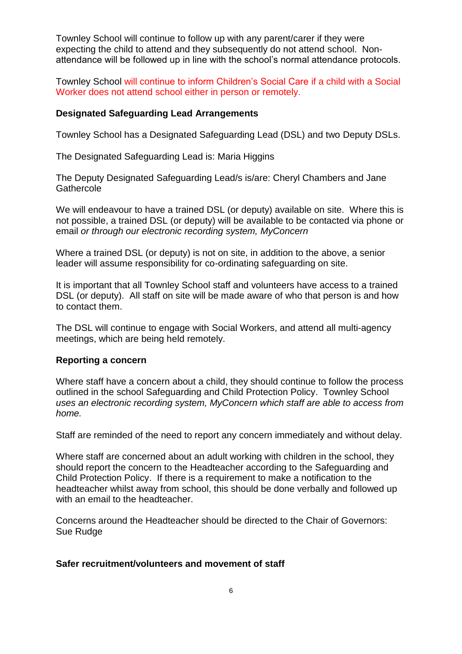Townley School will continue to follow up with any parent/carer if they were expecting the child to attend and they subsequently do not attend school. Nonattendance will be followed up in line with the school's normal attendance protocols.

Townley School will continue to inform Children's Social Care if a child with a Social Worker does not attend school either in person or remotely.

#### **Designated Safeguarding Lead Arrangements**

Townley School has a Designated Safeguarding Lead (DSL) and two Deputy DSLs.

The Designated Safeguarding Lead is: Maria Higgins

The Deputy Designated Safeguarding Lead/s is/are: Cheryl Chambers and Jane **Gathercole** 

We will endeavour to have a trained DSL (or deputy) available on site. Where this is not possible, a trained DSL (or deputy) will be available to be contacted via phone or email *or through our electronic recording system, MyConcern* 

Where a trained DSL (or deputy) is not on site, in addition to the above, a senior leader will assume responsibility for co-ordinating safeguarding on site.

It is important that all Townley School staff and volunteers have access to a trained DSL (or deputy). All staff on site will be made aware of who that person is and how to contact them.

The DSL will continue to engage with Social Workers, and attend all multi-agency meetings, which are being held remotely.

#### **Reporting a concern**

Where staff have a concern about a child, they should continue to follow the process outlined in the school Safeguarding and Child Protection Policy. Townley School *uses an electronic recording system, MyConcern which staff are able to access from home.*

Staff are reminded of the need to report any concern immediately and without delay.

Where staff are concerned about an adult working with children in the school, they should report the concern to the Headteacher according to the Safeguarding and Child Protection Policy. If there is a requirement to make a notification to the headteacher whilst away from school, this should be done verbally and followed up with an email to the headteacher.

Concerns around the Headteacher should be directed to the Chair of Governors: Sue Rudge

#### **Safer recruitment/volunteers and movement of staff**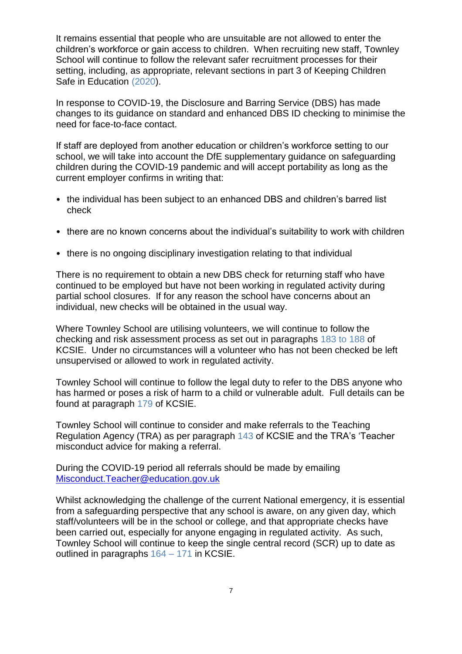It remains essential that people who are unsuitable are not allowed to enter the children's workforce or gain access to children. When recruiting new staff, Townley School will continue to follow the relevant safer recruitment processes for their setting, including, as appropriate, relevant sections in part 3 of Keeping Children Safe in Education (2020).

In response to COVID-19, the Disclosure and Barring Service (DBS) has made changes to its guidance on standard and enhanced DBS ID checking to minimise the need for face-to-face contact.

If staff are deployed from another education or children's workforce setting to our school, we will take into account the DfE supplementary guidance on safeguarding children during the COVID-19 pandemic and will accept portability as long as the current employer confirms in writing that:

- the individual has been subject to an enhanced DBS and children's barred list check
- there are no known concerns about the individual's suitability to work with children
- there is no ongoing disciplinary investigation relating to that individual

There is no requirement to obtain a new DBS check for returning staff who have continued to be employed but have not been working in regulated activity during partial school closures. If for any reason the school have concerns about an individual, new checks will be obtained in the usual way.

Where Townley School are utilising volunteers, we will continue to follow the checking and risk assessment process as set out in paragraphs 183 to 188 of KCSIE. Under no circumstances will a volunteer who has not been checked be left unsupervised or allowed to work in regulated activity.

Townley School will continue to follow the legal duty to refer to the DBS anyone who has harmed or poses a risk of harm to a child or vulnerable adult. Full details can be found at paragraph 179 of KCSIE.

Townley School will continue to consider and make referrals to the Teaching Regulation Agency (TRA) as per paragraph 143 of KCSIE and the TRA's 'Teacher misconduct advice for making a referral.

During the COVID-19 period all referrals should be made by emailing [Misconduct.Teacher@education.gov.uk](mailto:Misconduct.Teacher@education.gov.uk)

Whilst acknowledging the challenge of the current National emergency, it is essential from a safeguarding perspective that any school is aware, on any given day, which staff/volunteers will be in the school or college, and that appropriate checks have been carried out, especially for anyone engaging in regulated activity. As such, Townley School will continue to keep the single central record (SCR) up to date as outlined in paragraphs 164 – 171 in KCSIE.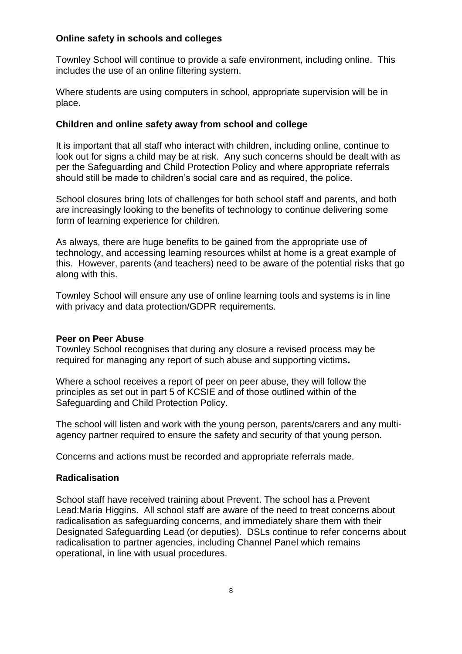#### **Online safety in schools and colleges**

Townley School will continue to provide a safe environment, including online. This includes the use of an online filtering system.

Where students are using computers in school, appropriate supervision will be in place.

#### **Children and online safety away from school and college**

It is important that all staff who interact with children, including online, continue to look out for signs a child may be at risk. Any such concerns should be dealt with as per the Safeguarding and Child Protection Policy and where appropriate referrals should still be made to children's social care and as required, the police.

School closures bring lots of challenges for both school staff and parents, and both are increasingly looking to the benefits of technology to continue delivering some form of learning experience for children.

As always, there are huge benefits to be gained from the appropriate use of technology, and accessing learning resources whilst at home is a great example of this. However, parents (and teachers) need to be aware of the potential risks that go along with this.

Townley School will ensure any use of online learning tools and systems is in line with privacy and data protection/GDPR requirements.

#### **Peer on Peer Abuse**

Townley School recognises that during any closure a revised process may be required for managing any report of such abuse and supporting victims**.** 

Where a school receives a report of peer on peer abuse, they will follow the principles as set out in part 5 of KCSIE and of those outlined within of the Safeguarding and Child Protection Policy.

The school will listen and work with the young person, parents/carers and any multiagency partner required to ensure the safety and security of that young person.

Concerns and actions must be recorded and appropriate referrals made.

## **Radicalisation**

School staff have received training about Prevent. The school has a Prevent Lead:Maria Higgins. All school staff are aware of the need to treat concerns about radicalisation as safeguarding concerns, and immediately share them with their Designated Safeguarding Lead (or deputies). DSLs continue to refer concerns about radicalisation to partner agencies, including Channel Panel which remains operational, in line with usual procedures.